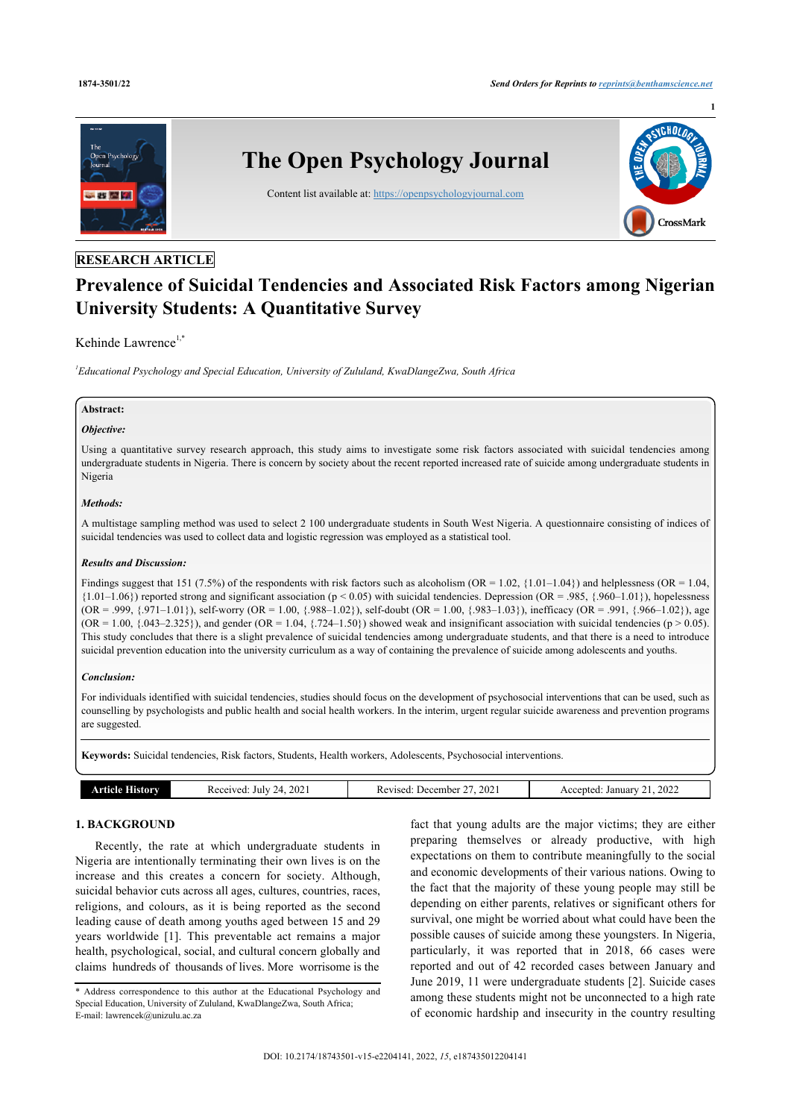**1**



# **RESEARCH ARTICLE**

# **Prevalence of Suicidal Tendencies and Associated Risk Factors among Nigerian University Students: A Quantitative Survey**

# Kehinde Lawrence<sup>[1](#page-0-0),[\\*](#page-0-1)</sup>

<span id="page-0-0"></span>*1 Educational Psychology and Special Education, University of Zululand, KwaDlangeZwa, South Africa*

## **Abstract:**

# *Objective:*

Using a quantitative survey research approach, this study aims to investigate some risk factors associated with suicidal tendencies among undergraduate students in Nigeria. There is concern by society about the recent reported increased rate of suicide among undergraduate students in Nigeria

## *Methods:*

A multistage sampling method was used to select 2 100 undergraduate students in South West Nigeria. A questionnaire consisting of indices of suicidal tendencies was used to collect data and logistic regression was employed as a statistical tool.

## *Results and Discussion:*

Findings suggest that 151 (7.5%) of the respondents with risk factors such as alcoholism (OR = 1.02, {1.01–1.04}) and helplessness (OR = 1.04,  ${1.01-1.06}$  reported strong and significant association (p < 0.05) with suicidal tendencies. Depression (OR = .985, {.960–1.01}), hopelessness  $(OR = .999, \{.971-1.01\})$ , self-worry  $(OR = 1.00, \{.988-1.02\})$ , self-doubt  $(OR = 1.00, \{.983-1.03\})$ , inefficacy  $(OR = .991, \{.966-1.02\})$ , age  $(OR = 1.00, \{0.043 - 2.325\})$ , and gender  $(OR = 1.04, \{724 - 1.50\})$  showed weak and insignificant association with suicidal tendencies (p > 0.05). This study concludes that there is a slight prevalence of suicidal tendencies among undergraduate students, and that there is a need to introduce suicidal prevention education into the university curriculum as a way of containing the prevalence of suicide among adolescents and youths.

## *Conclusion:*

For individuals identified with suicidal tendencies, studies should focus on the development of psychosocial interventions that can be used, such as counselling by psychologists and public health and social health workers. In the interim, urgent regular suicide awareness and prevention programs are suggested.

**Keywords:** Suicidal tendencies, Risk factors, Students, Health workers, Adolescents, Psychosocial interventions.

| orv<br>***^*^ | 2021<br>Received<br>July<br>74 | 2021<br>December<br>Revised | 2022<br>Accepted<br>January |
|---------------|--------------------------------|-----------------------------|-----------------------------|
|               |                                |                             |                             |

# **1. BACKGROUND**

Recently, the rate at which undergraduate students in Nigeria are intentionally terminating their own lives is on the increase and this creates a concern for society. Although, suicidal behavior cuts across all ages, cultures, countries, races, religions, and colours, as it is being reported as the second leading cause of death among youths aged between 15 and 29 years worldwide[[1](#page-9-0)]. This preventable act remains a major health, psychological, social, and cultural concern globally and claims hundreds of thousands of lives. More worrisome is the

fact that young adults are the major victims; they are either preparing themselves or already productive, with high expectations on them to contribute meaningfully to the social and economic developments of their various nations. Owing to the fact that the majority of these young people may still be depending on either parents, relatives or significant others for survival, one might be worried about what could have been the possible causes of suicide among these youngsters. In Nigeria, particularly, it was reported that in 2018, 66 cases were reported and out of 42 recorded cases between January and June 2019, 11 were undergraduate students [[2\]](#page-9-1). Suicide cases among these students might not be unconnected to a high rate of economic hardship and insecurity in the country resulting

<span id="page-0-1"></span><sup>\*</sup> Address correspondence to this author at the Educational Psychology and Special Education, University of Zululand, KwaDlangeZwa, South Africa; E-mail: [lawrencek@unizulu.ac.za](mailto:lawrencek@unizulu.ac.za)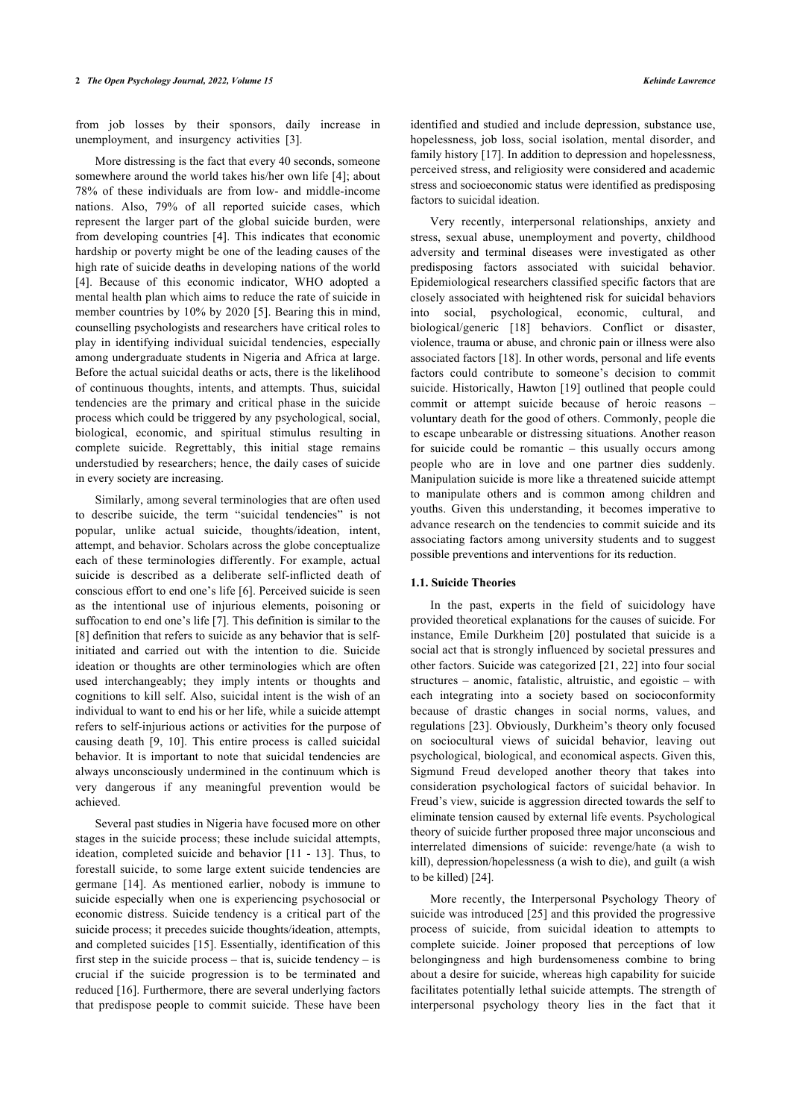from job losses by their sponsors, daily increase in unemployment, and insurgency activities[[3](#page-9-2)].

More distressing is the fact that every 40 seconds, someone somewhere around the world takes his/her own life [[4\]](#page-9-3); about 78% of these individuals are from low- and middle-income nations. Also, 79% of all reported suicide cases, which represent the larger part of the global suicide burden, were from developing countries [\[4\]](#page-9-3). This indicates that economic hardship or poverty might be one of the leading causes of the high rate of suicide deaths in developing nations of the world [[4](#page-9-3)]. Because of this economic indicator, WHO adopted a mental health plan which aims to reduce the rate of suicide in member countries by 10% by 2020 [\[5\]](#page-9-4). Bearing this in mind, counselling psychologists and researchers have critical roles to play in identifying individual suicidal tendencies, especially among undergraduate students in Nigeria and Africa at large. Before the actual suicidal deaths or acts, there is the likelihood of continuous thoughts, intents, and attempts. Thus, suicidal tendencies are the primary and critical phase in the suicide process which could be triggered by any psychological, social, biological, economic, and spiritual stimulus resulting in complete suicide. Regrettably, this initial stage remains understudied by researchers; hence, the daily cases of suicide in every society are increasing.

Similarly, among several terminologies that are often used to describe suicide, the term "suicidal tendencies" is not popular, unlike actual suicide, thoughts/ideation, intent, attempt, and behavior. Scholars across the globe conceptualize each of these terminologies differently. For example, actual suicide is described as a deliberate self-inflicted death of conscious effort to end one's life [[6](#page-9-5)]. Perceived suicide is seen as the intentional use of injurious elements, poisoning or suffocation to end one's life [[7](#page-9-6)]. This definition is similar to the [[8](#page-9-7)] definition that refers to suicide as any behavior that is selfinitiated and carried out with the intention to die. Suicide ideation or thoughts are other terminologies which are often used interchangeably; they imply intents or thoughts and cognitions to kill self. Also, suicidal intent is the wish of an individual to want to end his or her life, while a suicide attempt refers to self-injurious actions or activities for the purpose of causing death[[9](#page-9-8), [10\]](#page-9-9). This entire process is called suicidal behavior. It is important to note that suicidal tendencies are always unconsciously undermined in the continuum which is very dangerous if any meaningful prevention would be achieved.

Several past studies in Nigeria have focused more on other stages in the suicide process; these include suicidal attempts, ideation, completed suicide and behavior [\[11](#page-9-10) - [13](#page-9-11)]. Thus, to forestall suicide, to some large extent suicide tendencies are germane[[14\]](#page-9-12). As mentioned earlier, nobody is immune to suicide especially when one is experiencing psychosocial or economic distress. Suicide tendency is a critical part of the suicide process; it precedes suicide thoughts/ideation, attempts, and completed suicides [[15\]](#page-9-13). Essentially, identification of this first step in the suicide process – that is, suicide tendency – is crucial if the suicide progression is to be terminated and reduced [[16\]](#page-9-14). Furthermore, there are several underlying factors that predispose people to commit suicide. These have been

identified and studied and include depression, substance use, hopelessness, job loss, social isolation, mental disorder, and family history [\[17](#page-9-15)]. In addition to depression and hopelessness, perceived stress, and religiosity were considered and academic stress and socioeconomic status were identified as predisposing factors to suicidal ideation.

Very recently, interpersonal relationships, anxiety and stress, sexual abuse, unemployment and poverty, childhood adversity and terminal diseases were investigated as other predisposing factors associated with suicidal behavior. Epidemiological researchers classified specific factors that are closely associated with heightened risk for suicidal behaviors into social, psychological, economic, cultural, and biological/generic[[18](#page-9-16)] behaviors. Conflict or disaster, violence, trauma or abuse, and chronic pain or illness were also associated factors [[18\]](#page-9-16). In other words, personal and life events factors could contribute to someone's decision to commit suicide. Historically, Hawton [[19](#page-9-17)] outlined that people could commit or attempt suicide because of heroic reasons – voluntary death for the good of others. Commonly, people die to escape unbearable or distressing situations. Another reason for suicide could be romantic – this usually occurs among people who are in love and one partner dies suddenly. Manipulation suicide is more like a threatened suicide attempt to manipulate others and is common among children and youths. Given this understanding, it becomes imperative to advance research on the tendencies to commit suicide and its associating factors among university students and to suggest possible preventions and interventions for its reduction.

## **1.1. Suicide Theories**

In the past, experts in the field of suicidology have provided theoretical explanations for the causes of suicide. For instance, Emile Durkheim[[20\]](#page-9-18) postulated that suicide is a social act that is strongly influenced by societal pressures and other factors. Suicide was categorized [\[21](#page-9-19), [22](#page-9-20)] into four social structures – anomic, fatalistic, altruistic, and egoistic – with each integrating into a society based on socioconformity because of drastic changes in social norms, values, and regulations [[23](#page-9-21)]. Obviously, Durkheim's theory only focused on sociocultural views of suicidal behavior, leaving out psychological, biological, and economical aspects. Given this, Sigmund Freud developed another theory that takes into consideration psychological factors of suicidal behavior. In Freud's view, suicide is aggression directed towards the self to eliminate tension caused by external life events. Psychological theory of suicide further proposed three major unconscious and interrelated dimensions of suicide: revenge/hate (a wish to kill), depression/hopelessness (a wish to die), and guilt (a wish to be killed) [[24\]](#page-9-22).

More recently, the Interpersonal Psychology Theory of suicide was introduced [[25](#page-9-23)] and this provided the progressive process of suicide, from suicidal ideation to attempts to complete suicide. Joiner proposed that perceptions of low belongingness and high burdensomeness combine to bring about a desire for suicide, whereas high capability for suicide facilitates potentially lethal suicide attempts. The strength of interpersonal psychology theory lies in the fact that it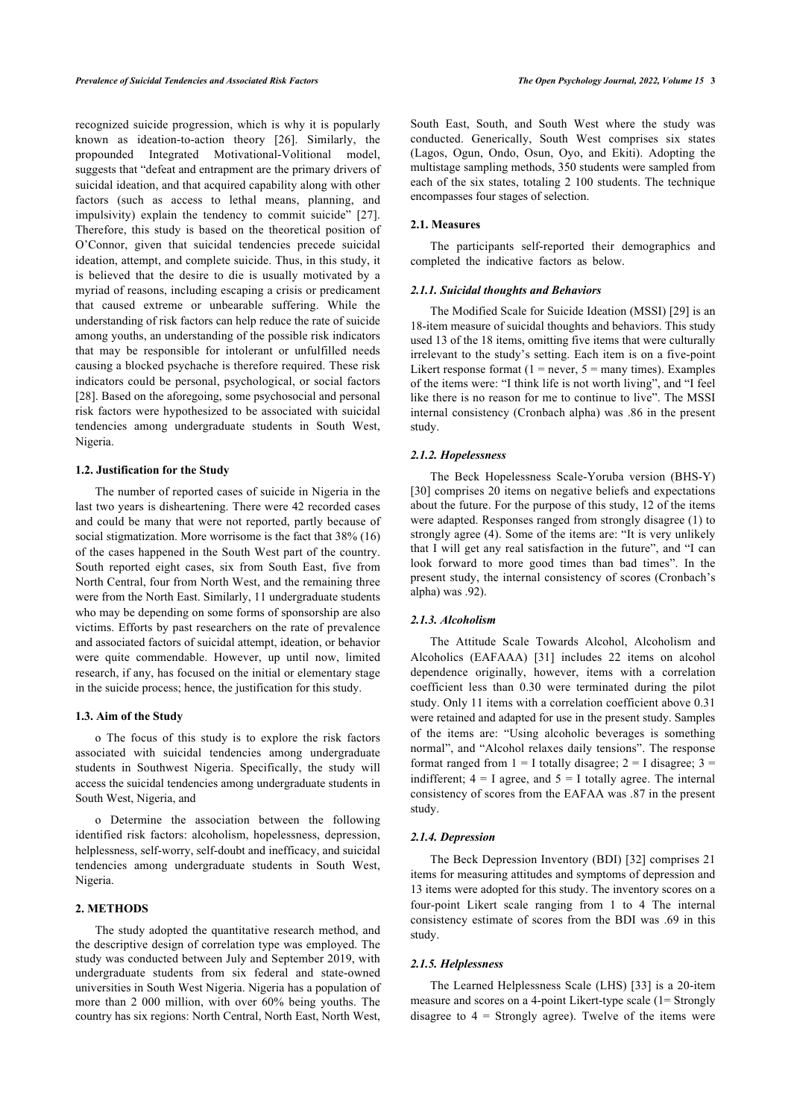recognized suicide progression, which is why it is popularly known as ideation-to-action theory[[26\]](#page-9-24). Similarly, the propounded Integrated Motivational-Volitional model, suggests that "defeat and entrapment are the primary drivers of suicidal ideation, and that acquired capability along with other factors (such as access to lethal means, planning, and impulsivity) explain the tendency to commit suicide"[[27\]](#page-9-25). Therefore, this study is based on the theoretical position of O'Connor, given that suicidal tendencies precede suicidal ideation, attempt, and complete suicide. Thus, in this study, it is believed that the desire to die is usually motivated by a myriad of reasons, including escaping a crisis or predicament that caused extreme or unbearable suffering. While the understanding of risk factors can help reduce the rate of suicide among youths, an understanding of the possible risk indicators that may be responsible for intolerant or unfulfilled needs causing a blocked psychache is therefore required. These risk indicators could be personal, psychological, or social factors [[28\]](#page-9-26). Based on the aforegoing, some psychosocial and personal risk factors were hypothesized to be associated with suicidal tendencies among undergraduate students in South West, Nigeria.

#### **1.2. Justification for the Study**

The number of reported cases of suicide in Nigeria in the last two years is disheartening. There were 42 recorded cases and could be many that were not reported, partly because of social stigmatization. More worrisome is the fact that 38% (16) of the cases happened in the South West part of the country. South reported eight cases, six from South East, five from North Central, four from North West, and the remaining three were from the North East. Similarly, 11 undergraduate students who may be depending on some forms of sponsorship are also victims. Efforts by past researchers on the rate of prevalence and associated factors of suicidal attempt, ideation, or behavior were quite commendable. However, up until now, limited research, if any, has focused on the initial or elementary stage in the suicide process; hence, the justification for this study.

#### **1.3. Aim of the Study**

o The focus of this study is to explore the risk factors associated with suicidal tendencies among undergraduate students in Southwest Nigeria. Specifically, the study will access the suicidal tendencies among undergraduate students in South West, Nigeria, and

o Determine the association between the following identified risk factors: alcoholism, hopelessness, depression, helplessness, self-worry, self-doubt and inefficacy, and suicidal tendencies among undergraduate students in South West, Nigeria.

## **2. METHODS**

The study adopted the quantitative research method, and the descriptive design of correlation type was employed. The study was conducted between July and September 2019, with undergraduate students from six federal and state-owned universities in South West Nigeria. Nigeria has a population of more than 2 000 million, with over 60% being youths. The country has six regions: North Central, North East, North West, South East, South, and South West where the study was conducted. Generically, South West comprises six states (Lagos, Ogun, Ondo, Osun, Oyo, and Ekiti). Adopting the multistage sampling methods, 350 students were sampled from each of the six states, totaling 2 100 students. The technique encompasses four stages of selection.

## **2.1. Measures**

The participants self-reported their demographics and completed the indicative factors as below.

#### *2.1.1. Suicidal thoughts and Behaviors*

The Modified Scale for Suicide Ideation (MSSI) [[29](#page-9-27)] is an 18-item measure of suicidal thoughts and behaviors. This study used 13 of the 18 items, omitting five items that were culturally irrelevant to the study's setting. Each item is on a five-point Likert response format ( $1 =$  never,  $5 =$  many times). Examples of the items were: "I think life is not worth living", and "I feel like there is no reason for me to continue to live". The MSSI internal consistency (Cronbach alpha) was .86 in the present study.

#### *2.1.2. Hopelessness*

The Beck Hopelessness Scale-Yoruba version (BHS-Y) [[30](#page-9-28)] comprises 20 items on negative beliefs and expectations about the future. For the purpose of this study, 12 of the items were adapted. Responses ranged from strongly disagree (1) to strongly agree (4). Some of the items are: "It is very unlikely that I will get any real satisfaction in the future", and "I can look forward to more good times than bad times". In the present study, the internal consistency of scores (Cronbach's alpha) was .92).

## *2.1.3. Alcoholism*

The Attitude Scale Towards Alcohol, Alcoholism and Alcoholics (EAFAAA) [\[31](#page-9-29)] includes 22 items on alcohol dependence originally, however, items with a correlation coefficient less than 0.30 were terminated during the pilot study. Only 11 items with a correlation coefficient above 0.31 were retained and adapted for use in the present study. Samples of the items are: "Using alcoholic beverages is something normal", and "Alcohol relaxes daily tensions". The response format ranged from  $1 = I$  totally disagree;  $2 = I$  disagree;  $3 =$ indifferent;  $4 = I$  agree, and  $5 = I$  totally agree. The internal consistency of scores from the EAFAA was .87 in the present study.

### *2.1.4. Depression*

The Beck Depression Inventory (BDI) [[32](#page-9-30)] comprises 21 items for measuring attitudes and symptoms of depression and 13 items were adopted for this study. The inventory scores on a four-point Likert scale ranging from 1 to 4 The internal consistency estimate of scores from the BDI was .69 in this study.

#### *2.1.5. Helplessness*

The Learned Helplessness Scale (LHS) [\[33](#page-9-31)] is a 20-item measure and scores on a 4-point Likert-type scale (1= Strongly disagree to  $4 =$  Strongly agree). Twelve of the items were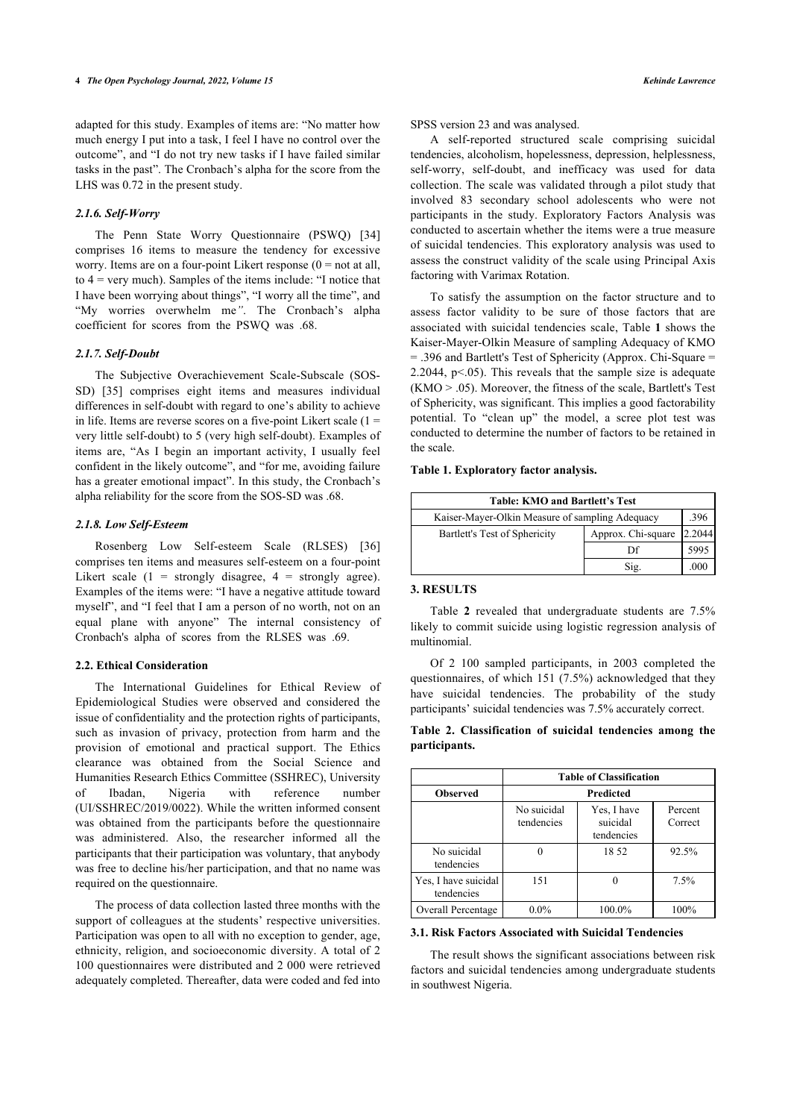adapted for this study. Examples of items are: "No matter how much energy I put into a task, I feel I have no control over the outcome", and "I do not try new tasks if I have failed similar tasks in the past". The Cronbach's alpha for the score from the LHS was 0.72 in the present study.

## *2.1.6. Self-Worry*

The Penn State Worry Questionnaire (PSWQ)[[34](#page-9-32)] comprises 16 items to measure the tendency for excessive worry. Items are on a four-point Likert response  $(0 = not at all)$ , to 4 = very much). Samples of the items include: "I notice that I have been worrying about things", "I worry all the time", and "My worries overwhelm me*"*. The Cronbach's alpha coefficient for scores from the PSWQ was .68.

#### *2.1.7. Self-Doubt*

The Subjective Overachievement Scale-Subscale (SOS-SD)[[35](#page-9-33)] comprises eight items and measures individual differences in self-doubt with regard to one's ability to achieve in life. Items are reverse scores on a five-point Likert scale  $(1 =$ very little self-doubt) to 5 (very high self-doubt). Examples of items are, "As I begin an important activity, I usually feel confident in the likely outcome", and "for me, avoiding failure has a greater emotional impact". In this study, the Cronbach's alpha reliability for the score from the SOS-SD was .68.

#### <span id="page-3-0"></span>*2.1.8. Low Self-Esteem*

Rosenberg Low Self-esteem Scale (RLSES)[[36](#page-9-34)] comprises ten items and measures self-esteem on a four-point Likert scale  $(1 =$  strongly disagree,  $4 =$  strongly agree). Examples of the items were: "I have a negative attitude toward myself", and "I feel that I am a person of no worth, not on an equal plane with anyone" The internal consistency of Cronbach's alpha of scores from the RLSES was .69.

## **2.2. Ethical Consideration**

<span id="page-3-1"></span>The International Guidelines for Ethical Review of Epidemiological Studies were observed and considered the issue of confidentiality and the protection rights of participants, such as invasion of privacy, protection from harm and the provision of emotional and practical support. The Ethics clearance was obtained from the Social Science and Humanities Research Ethics Committee (SSHREC), University of Ibadan, Nigeria with reference number (UI/SSHREC/2019/0022). While the written informed consent was obtained from the participants before the questionnaire was administered. Also, the researcher informed all the participants that their participation was voluntary, that anybody was free to decline his/her participation, and that no name was required on the questionnaire.

<span id="page-3-2"></span>The process of data collection lasted three months with the support of colleagues at the students' respective universities. Participation was open to all with no exception to gender, age, ethnicity, religion, and socioeconomic diversity. A total of 2 100 questionnaires were distributed and 2 000 were retrieved adequately completed. Thereafter, data were coded and fed into SPSS version 23 and was analysed.

A self-reported structured scale comprising suicidal tendencies, alcoholism, hopelessness, depression, helplessness, self-worry, self-doubt, and inefficacy was used for data collection. The scale was validated through a pilot study that involved 83 secondary school adolescents who were not participants in the study. Exploratory Factors Analysis was conducted to ascertain whether the items were a true measure of suicidal tendencies. This exploratory analysis was used to assess the construct validity of the scale using Principal Axis factoring with Varimax Rotation.

To satisfy the assumption on the factor structure and to assess factor validity to be sure of those factors that are associated with suicidal tendencies scale, Table **[1](#page-3-0)** shows the Kaiser-Mayer-Olkin Measure of sampling Adequacy of KMO = .396 and Bartlett's Test of Sphericity (Approx. Chi-Square = 2.2044,  $p<0.05$ ). This reveals that the sample size is adequate (KMO > .05). Moreover, the fitness of the scale, Bartlett's Test of Sphericity, was significant. This implies a good factorability potential. To "clean up" the model, a scree plot test was conducted to determine the number of factors to be retained in the scale.

#### **Table 1. Exploratory factor analysis.**

| Table: KMO and Bartlett's Test                  |                    |        |  |  |  |  |
|-------------------------------------------------|--------------------|--------|--|--|--|--|
| Kaiser-Mayer-Olkin Measure of sampling Adequacy |                    |        |  |  |  |  |
| Bartlett's Test of Sphericity                   | Approx. Chi-square | 2.2044 |  |  |  |  |
|                                                 | Df                 | 5995   |  |  |  |  |
|                                                 | Sig.               | .000   |  |  |  |  |

## **3. RESULTS**

Table**2** revealed that undergraduate students are 7.5% likely to commit suicide using logistic regression analysis of multinomial.

Of 2 100 sampled participants, in 2003 completed the questionnaires, of which 151 (7.5%) acknowledged that they have suicidal tendencies. The probability of the study participants' suicidal tendencies was 7.5% accurately correct.

|               | Table 2. Classification of suicidal tendencies among the |  |  |  |
|---------------|----------------------------------------------------------|--|--|--|
| participants. |                                                          |  |  |  |

|                                    |                           | <b>Table of Classification</b>        |                    |  |  |  |
|------------------------------------|---------------------------|---------------------------------------|--------------------|--|--|--|
| <b>Observed</b>                    | <b>Predicted</b>          |                                       |                    |  |  |  |
|                                    | No suicidal<br>tendencies | Yes, I have<br>suicidal<br>tendencies | Percent<br>Correct |  |  |  |
| No suicidal<br>tendencies          |                           | 18.52                                 | 92.5%              |  |  |  |
| Yes, I have suicidal<br>tendencies | 151                       |                                       | 7.5%               |  |  |  |
| Overall Percentage                 | $0.0\%$                   | 100.0%                                | 100%               |  |  |  |

#### **3.1. Risk Factors Associated with Suicidal Tendencies**

The result shows the significant associations between risk factors and suicidal tendencies among undergraduate students in southwest Nigeria.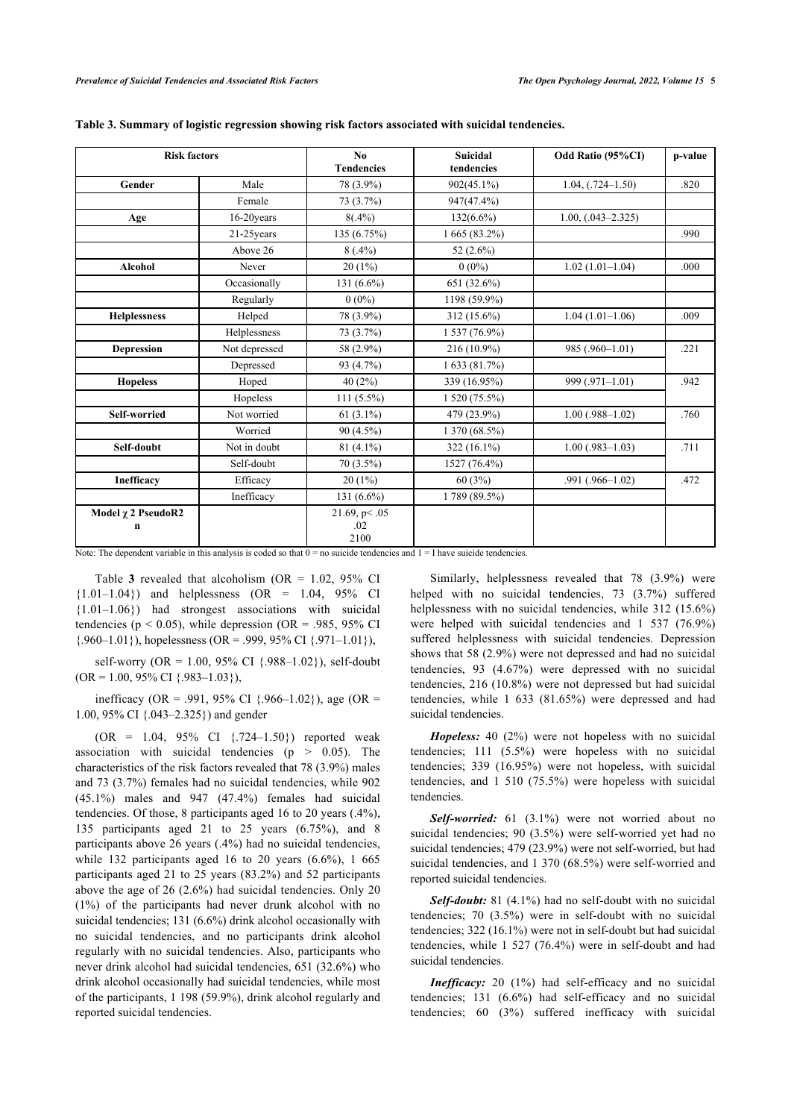| <b>Risk factors</b>            |               | No<br><b>Tendencies</b>       | <b>Suicidal</b><br>tendencies | Odd Ratio (95%CI)      | p-value |
|--------------------------------|---------------|-------------------------------|-------------------------------|------------------------|---------|
| Gender                         | Male          | 78 (3.9%)                     | $902(45.1\%)$                 | $1.04, (0.724 - 1.50)$ | .820    |
|                                | Female        | 73 (3.7%)                     | 947(47.4%)                    |                        |         |
| Age                            | 16-20years    | $8(.4\%)$                     | $132(6.6\%)$                  | $1.00, (.043 - 2.325)$ |         |
|                                | $21-25$ years | 135 (6.75%)                   | $1665(83.2\%)$                |                        | .990    |
|                                | Above 26      | $8(.4\%)$                     | 52 $(2.6\%)$                  |                        |         |
| <b>Alcohol</b>                 | Never         | $20(1\%)$                     | $0(0\%)$                      | $1.02(1.01-1.04)$      | .000    |
|                                | Occasionally  | 131 $(6.6\%)$                 | 651 (32.6%)                   |                        |         |
|                                | Regularly     | $0(0\%)$                      | 1198 (59.9%)                  |                        |         |
| <b>Helplessness</b>            | Helped        | 78 (3.9%)                     | 312 (15.6%)                   | $1.04(1.01-1.06)$      | .009    |
|                                | Helplessness  | 73 (3.7%)                     | $1537(76.9\%)$                |                        |         |
| <b>Depression</b>              | Not depressed | 58 (2.9%)                     | 216 (10.9%)                   | 985 (.960-1.01)        | .221    |
|                                | Depressed     | 93 (4.7%)                     | 1633(81.7%)                   |                        |         |
| <b>Hopeless</b>                | Hoped         | 40(2%)                        | 339 (16.95%)                  | 999 (.971-1.01)        | .942    |
|                                | Hopeless      | $111(5.5\%)$                  | 1520(75.5%)                   |                        |         |
| Self-worried                   | Not worried   | 61 $(3.1\%)$                  | 479 (23.9%)                   | $1.00$ (.988-1.02)     | .760    |
|                                | Worried       | $90(4.5\%)$                   | 1 370 (68.5%)                 |                        |         |
| Self-doubt                     | Not in doubt  | $81(4.1\%)$                   | $322(16.1\%)$                 | $1.00$ (.983-1.03)     | .711    |
|                                | Self-doubt    | 70 (3.5%)                     | 1527 (76.4%)                  |                        |         |
| Inefficacy                     | Efficacy      | $20(1\%)$                     | 60(3%)                        | $.991(.966-1.02)$      | .472    |
|                                | Inefficacy    | 131 (6.6%)                    | 1789 (89.5%)                  |                        |         |
| Model <i>χ</i> 2 PseudoR2<br>n |               | 21.69, $p<.05$<br>.02<br>2100 |                               |                        |         |

|  |  |  | Table 3. Summary of logistic regression showing risk factors associated with suicidal tendencies. |  |
|--|--|--|---------------------------------------------------------------------------------------------------|--|
|  |  |  |                                                                                                   |  |

Note: The dependent variable in this analysis is coded so that  $0 =$  no suicide tendencies and  $1 =$  I have suicide tendencies.

Table3 revealed that alcoholism ( $OR = 1.02$ ,  $95\%$  CI  ${1.01-1.04}$  and helplessness (OR = 1.04, 95% CI {1.01–1.06}) had strongest associations with suicidal tendencies ( $p < 0.05$ ), while depression (OR = .985, 95% CI  $\{.960-1.01\}$ , hopelessness (OR = .999, 95% CI  $\{.971-1.01\}$ ),

self-worry (OR = 1.00, 95% CI {.988–1.02}), self-doubt  $(OR = 1.00, 95\% \text{ CI } \{.983-1.03\}$ 

inefficacy (OR = .991, 95% CI  $\{.966-1.02\}$ ), age (OR = 1.00, 95% CI {.043–2.325}) and gender

 $(OR = 1.04, 95\% \text{ CI } \{.724-1.50\})$  reported weak association with suicidal tendencies ( $p > 0.05$ ). The characteristics of the risk factors revealed that 78 (3.9%) males and 73 (3.7%) females had no suicidal tendencies, while 902  $(45.1\%)$  males and  $947$   $(47.4\%)$  females had suicidal tendencies. Of those, 8 participants aged 16 to 20 years (.4%), 135 participants aged 21 to 25 years (6.75%), and 8 participants above 26 years (.4%) had no suicidal tendencies, while 132 participants aged 16 to 20 years  $(6.6\%)$ , 1 665 participants aged 21 to 25 years (83.2%) and 52 participants above the age of 26 (2.6%) had suicidal tendencies. Only 20 (1%) of the participants had never drunk alcohol with no suicidal tendencies; 131 (6.6%) drink alcohol occasionally with no suicidal tendencies, and no participants drink alcohol regularly with no suicidal tendencies. Also, participants who never drink alcohol had suicidal tendencies, 651 (32.6%) who drink alcohol occasionally had suicidal tendencies, while most of the participants, 1 198 (59.9%), drink alcohol regularly and reported suicidal tendencies.

Similarly, helplessness revealed that 78 (3.9%) were helped with no suicidal tendencies, 73 (3.7%) suffered helplessness with no suicidal tendencies, while 312 (15.6%) were helped with suicidal tendencies and 1 537 (76.9%) suffered helplessness with suicidal tendencies. Depression shows that 58 (2.9%) were not depressed and had no suicidal tendencies, 93 (4.67%) were depressed with no suicidal tendencies, 216 (10.8%) were not depressed but had suicidal tendencies, while 1 633 (81.65%) were depressed and had suicidal tendencies.

*Hopeless:* 40 (2%) were not hopeless with no suicidal tendencies; 111 (5.5%) were hopeless with no suicidal tendencies; 339 (16.95%) were not hopeless, with suicidal tendencies, and 1 510 (75.5%) were hopeless with suicidal tendencies.

*Self-worried:* 61 (3.1%) were not worried about no suicidal tendencies; 90 (3.5%) were self-worried yet had no suicidal tendencies; 479 (23.9%) were not self-worried, but had suicidal tendencies, and 1 370 (68.5%) were self-worried and reported suicidal tendencies.

*Self-doubt:* 81 (4.1%) had no self-doubt with no suicidal tendencies; 70 (3.5%) were in self-doubt with no suicidal tendencies; 322 (16.1%) were not in self-doubt but had suicidal tendencies, while 1 527 (76.4%) were in self-doubt and had suicidal tendencies.

*Inefficacy:* 20 (1%) had self-efficacy and no suicidal tendencies; 131 (6.6%) had self-efficacy and no suicidal tendencies; 60 (3%) suffered inefficacy with suicidal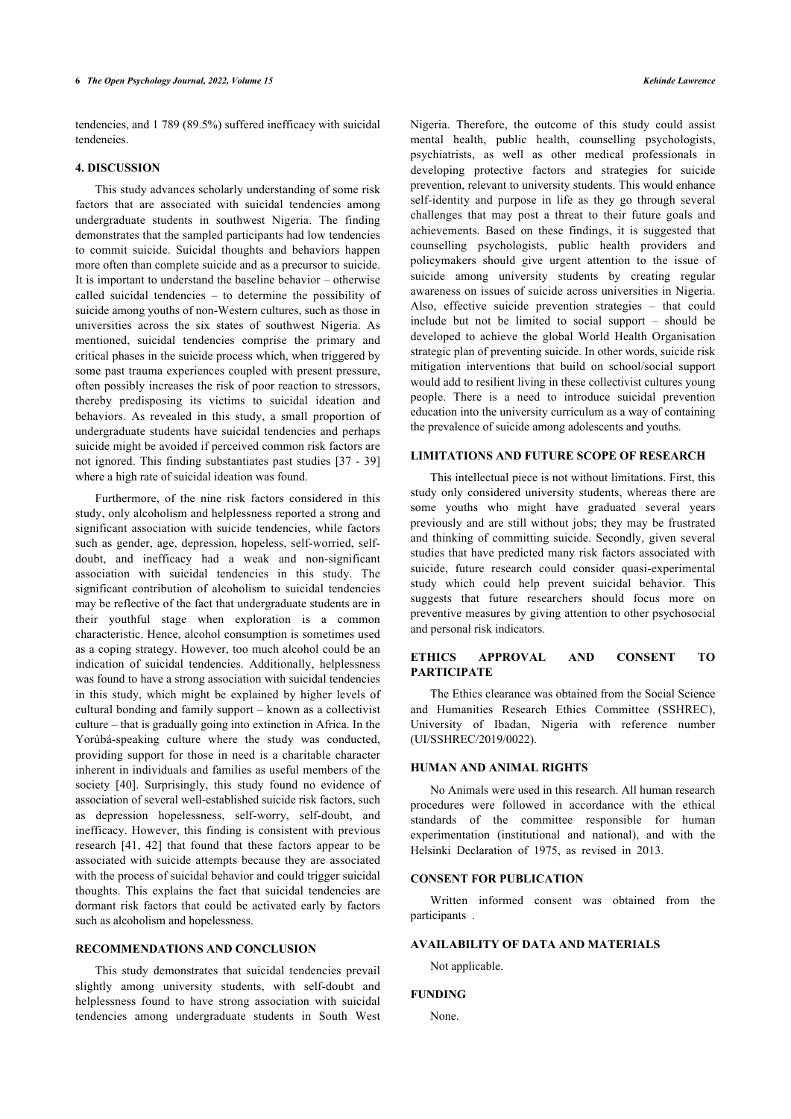tendencies, and 1 789 (89.5%) suffered inefficacy with suicidal tendencies.

## **4. DISCUSSION**

This study advances scholarly understanding of some risk factors that are associated with suicidal tendencies among undergraduate students in southwest Nigeria. The finding demonstrates that the sampled participants had low tendencies to commit suicide. Suicidal thoughts and behaviors happen more often than complete suicide and as a precursor to suicide. It is important to understand the baseline behavior – otherwise called suicidal tendencies – to determine the possibility of suicide among youths of non-Western cultures, such as those in universities across the six states of southwest Nigeria. As mentioned, suicidal tendencies comprise the primary and critical phases in the suicide process which, when triggered by some past trauma experiences coupled with present pressure, often possibly increases the risk of poor reaction to stressors, thereby predisposing its victims to suicidal ideation and behaviors. As revealed in this study, a small proportion of undergraduate students have suicidal tendencies and perhaps suicide might be avoided if perceived common risk factors are not ignored. This finding substantiates past studies [\[37](#page-9-35) - [39](#page-9-36)] where a high rate of suicidal ideation was found.

Furthermore, of the nine risk factors considered in this study, only alcoholism and helplessness reported a strong and significant association with suicide tendencies, while factors such as gender, age, depression, hopeless, self-worried, selfdoubt, and inefficacy had a weak and non-significant association with suicidal tendencies in this study. The significant contribution of alcoholism to suicidal tendencies may be reflective of the fact that undergraduate students are in their youthful stage when exploration is a common characteristic. Hence, alcohol consumption is sometimes used as a coping strategy. However, too much alcohol could be an indication of suicidal tendencies. Additionally, helplessness was found to have a strong association with suicidal tendencies in this study, which might be explained by higher levels of cultural bonding and family support – known as a collectivist culture – that is gradually going into extinction in Africa. In the Yorùbá-speaking culture where the study was conducted, providing support for those in need is a charitable character inherent in individuals and families as useful members of the society [\[40](#page-9-37)]. Surprisingly, this study found no evidence of association of several well-established suicide risk factors, such as depression hopelessness, self-worry, self-doubt, and inefficacy. However, this finding is consistent with previous research [\[41,](#page-9-38) [42\]](#page-10-0) that found that these factors appear to be associated with suicide attempts because they are associated with the process of suicidal behavior and could trigger suicidal thoughts. This explains the fact that suicidal tendencies are dormant risk factors that could be activated early by factors such as alcoholism and hopelessness.

#### **RECOMMENDATIONS AND CONCLUSION**

This study demonstrates that suicidal tendencies prevail slightly among university students, with self-doubt and helplessness found to have strong association with suicidal tendencies among undergraduate students in South West Nigeria. Therefore, the outcome of this study could assist mental health, public health, counselling psychologists, psychiatrists, as well as other medical professionals in developing protective factors and strategies for suicide prevention, relevant to university students. This would enhance self-identity and purpose in life as they go through several challenges that may post a threat to their future goals and achievements. Based on these findings, it is suggested that counselling psychologists, public health providers and policymakers should give urgent attention to the issue of suicide among university students by creating regular awareness on issues of suicide across universities in Nigeria. Also, effective suicide prevention strategies – that could include but not be limited to social support – should be developed to achieve the global World Health Organisation strategic plan of preventing suicide. In other words, suicide risk mitigation interventions that build on school/social support would add to resilient living in these collectivist cultures young people. There is a need to introduce suicidal prevention education into the university curriculum as a way of containing the prevalence of suicide among adolescents and youths.

#### **LIMITATIONS AND FUTURE SCOPE OF RESEARCH**

This intellectual piece is not without limitations. First, this study only considered university students, whereas there are some youths who might have graduated several years previously and are still without jobs; they may be frustrated and thinking of committing suicide. Secondly, given several studies that have predicted many risk factors associated with suicide, future research could consider quasi-experimental study which could help prevent suicidal behavior. This suggests that future researchers should focus more on preventive measures by giving attention to other psychosocial and personal risk indicators.

## **ETHICS APPROVAL AND CONSENT TO PARTICIPATE**

The Ethics clearance was obtained from the Social Science and Humanities Research Ethics Committee (SSHREC), University of Ibadan, Nigeria with reference number (UI/SSHREC/2019/0022).

#### **HUMAN AND ANIMAL RIGHTS**

No Animals were used in this research. All human research procedures were followed in accordance with the ethical standards of the committee responsible for human experimentation (institutional and national), and with the Helsinki Declaration of 1975, as revised in 2013.

# **CONSENT FOR PUBLICATION**

Written informed consent was obtained from the participants .

# **AVAILABILITY OF DATA AND MATERIALS**

Not applicable.

#### **FUNDING**

None.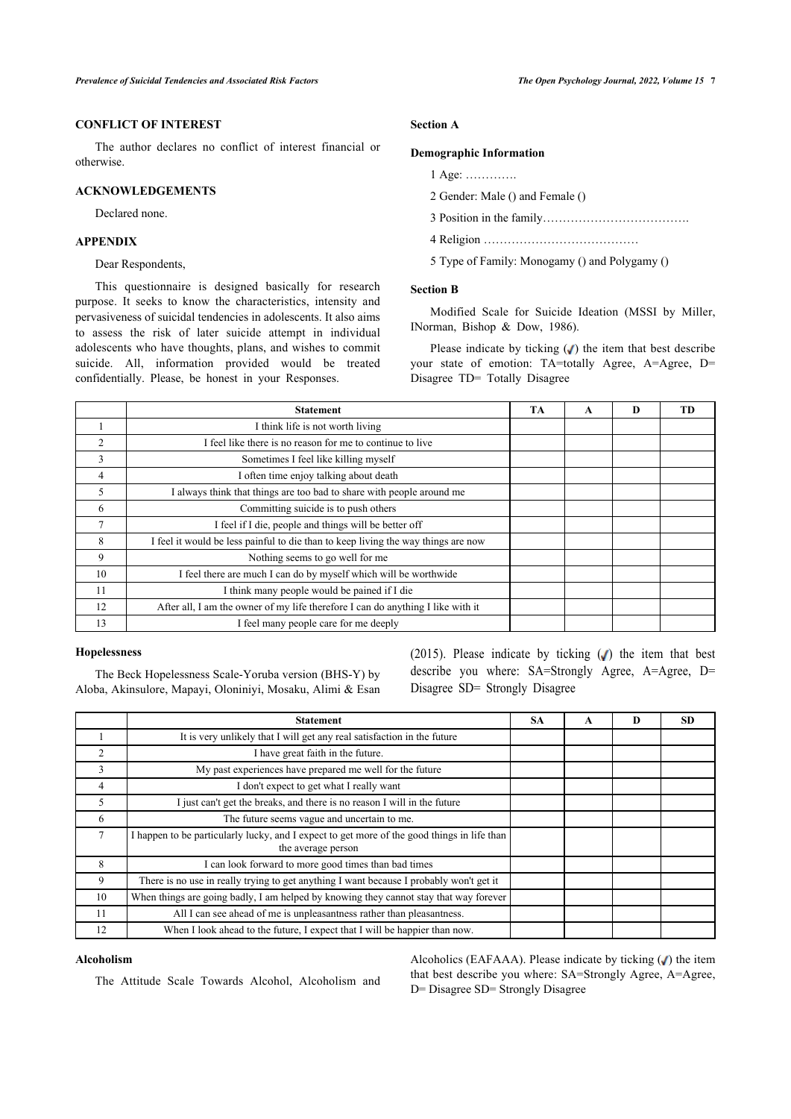# **CONFLICT OF INTEREST**

The author declares no conflict of interest financial or otherwise.

# **ACKNOWLEDGEMENTS**

Declared none.

# **APPENDIX**

Dear Respondents,

This questionnaire is designed basically for research purpose. It seeks to know the characteristics, intensity and pervasiveness of suicidal tendencies in adolescents. It also aims to assess the risk of later suicide attempt in individual adolescents who have thoughts, plans, and wishes to commit suicide. All, information provided would be treated confidentially. Please, be honest in your Responses.

# **Section A**

#### **Demographic Information**

1 Age: ………….

2 Gender: Male () and Female ()

- 3 Position in the family……………………………….
- 4 Religion …………………………………
- 5 Type of Family: Monogamy () and Polygamy ()

#### **Section B**

Modified Scale for Suicide Ideation (MSSI by Miller, INorman, Bishop & Dow, 1986).

Please indicate by ticking  $(V)$  the item that best describe your state of emotion: TA=totally Agree, A=Agree, D= Disagree TD= Totally Disagree

|                | <b>Statement</b>                                                                  | <b>TA</b> | A | D | TD |
|----------------|-----------------------------------------------------------------------------------|-----------|---|---|----|
|                | I think life is not worth living                                                  |           |   |   |    |
| $\overline{2}$ | I feel like there is no reason for me to continue to live                         |           |   |   |    |
| 3              | Sometimes I feel like killing myself                                              |           |   |   |    |
| 4              | I often time enjoy talking about death                                            |           |   |   |    |
| 5              | I always think that things are too bad to share with people around me             |           |   |   |    |
| 6              | Committing suicide is to push others                                              |           |   |   |    |
|                | I feel if I die, people and things will be better off                             |           |   |   |    |
| 8              | I feel it would be less painful to die than to keep living the way things are now |           |   |   |    |
| 9              | Nothing seems to go well for me                                                   |           |   |   |    |
| 10             | I feel there are much I can do by myself which will be worthwide                  |           |   |   |    |
| 11             | I think many people would be pained if I die                                      |           |   |   |    |
| 12             | After all, I am the owner of my life therefore I can do anything I like with it   |           |   |   |    |
| 13             | I feel many people care for me deeply                                             |           |   |   |    |

#### **Hopelessness**

The Beck Hopelessness Scale-Yoruba version (BHS-Y) by Aloba, Akinsulore, Mapayi, Oloniniyi, Mosaku, Alimi & Esan (2015). Please indicate by ticking  $(J)$  the item that best describe you where: SA=Strongly Agree, A=Agree, D= Disagree SD= Strongly Disagree

|    | <b>Statement</b>                                                                                                  | <b>SA</b> | A | D | <b>SD</b> |
|----|-------------------------------------------------------------------------------------------------------------------|-----------|---|---|-----------|
|    | It is very unlikely that I will get any real satisfaction in the future                                           |           |   |   |           |
| 2  | I have great faith in the future.                                                                                 |           |   |   |           |
| 3  | My past experiences have prepared me well for the future                                                          |           |   |   |           |
| 4  | I don't expect to get what I really want                                                                          |           |   |   |           |
| 5  | I just can't get the breaks, and there is no reason I will in the future                                          |           |   |   |           |
| 6  | The future seems vague and uncertain to me.                                                                       |           |   |   |           |
| 7  | I happen to be particularly lucky, and I expect to get more of the good things in life than<br>the average person |           |   |   |           |
| 8  | I can look forward to more good times than bad times                                                              |           |   |   |           |
| 9  | There is no use in really trying to get anything I want because I probably won't get it                           |           |   |   |           |
| 10 | When things are going badly, I am helped by knowing they cannot stay that way forever                             |           |   |   |           |
| 11 | All I can see ahead of me is unpleasantness rather than pleasantness.                                             |           |   |   |           |
| 12 | When I look ahead to the future, I expect that I will be happier than now.                                        |           |   |   |           |

#### **Alcoholism**

The Attitude Scale Towards Alcohol, Alcoholism and

Alcoholics (EAFAAA). Please indicate by ticking  $(\checkmark)$  the item that best describe you where: SA=Strongly Agree, A=Agree, D= Disagree SD= Strongly Disagree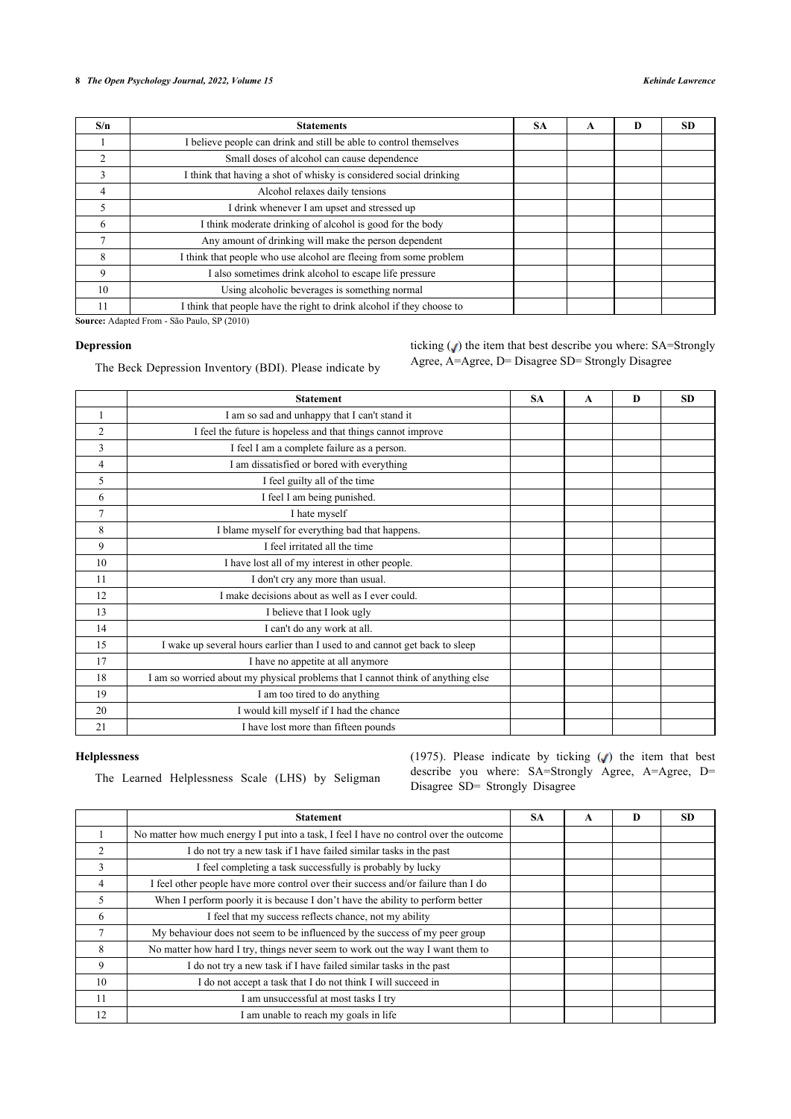# *The Open Psychology Journal, 2022, Volume 15 Kehinde Lawrence*

| S/n | <b>Statements</b>                                                     | <b>SA</b> | A | D | <b>SD</b> |
|-----|-----------------------------------------------------------------------|-----------|---|---|-----------|
|     | I believe people can drink and still be able to control themselves    |           |   |   |           |
|     | Small doses of alcohol can cause dependence                           |           |   |   |           |
| 3   | I think that having a shot of whisky is considered social drinking    |           |   |   |           |
| 4   | Alcohol relaxes daily tensions                                        |           |   |   |           |
| 5   | I drink whenever I am upset and stressed up                           |           |   |   |           |
| 6   | I think moderate drinking of alcohol is good for the body             |           |   |   |           |
|     | Any amount of drinking will make the person dependent                 |           |   |   |           |
| 8   | I think that people who use alcohol are fleeing from some problem     |           |   |   |           |
| 9   | I also sometimes drink alcohol to escape life pressure                |           |   |   |           |
| 10  | Using alcoholic beverages is something normal                         |           |   |   |           |
|     | I think that people have the right to drink alcohol if they choose to |           |   |   |           |

**Source:** Adapted From - São Paulo, SP (2010)

## **Depression**

The Beck Depression Inventory (BDI). Please indicate by

ticking  $\left(\right)$  the item that best describe you where: SA=Strongly Agree, A=Agree, D= Disagree SD= Strongly Disagree

|                | <b>Statement</b>                                                                | <b>SA</b> | $\mathbf{A}$ | D | <b>SD</b> |
|----------------|---------------------------------------------------------------------------------|-----------|--------------|---|-----------|
|                | I am so sad and unhappy that I can't stand it                                   |           |              |   |           |
| $\overline{2}$ | I feel the future is hopeless and that things cannot improve                    |           |              |   |           |
| 3              | I feel I am a complete failure as a person.                                     |           |              |   |           |
| 4              | I am dissatisfied or bored with everything                                      |           |              |   |           |
| 5              | I feel guilty all of the time                                                   |           |              |   |           |
| 6              | I feel I am being punished.                                                     |           |              |   |           |
| $\overline{7}$ | I hate myself                                                                   |           |              |   |           |
| 8              | I blame myself for everything bad that happens.                                 |           |              |   |           |
| 9              | I feel irritated all the time                                                   |           |              |   |           |
| 10             | I have lost all of my interest in other people.                                 |           |              |   |           |
| 11             | I don't cry any more than usual.                                                |           |              |   |           |
| 12             | I make decisions about as well as I ever could.                                 |           |              |   |           |
| 13             | I believe that I look ugly                                                      |           |              |   |           |
| 14             | I can't do any work at all.                                                     |           |              |   |           |
| 15             | I wake up several hours earlier than I used to and cannot get back to sleep     |           |              |   |           |
| 17             | I have no appetite at all anymore                                               |           |              |   |           |
| 18             | I am so worried about my physical problems that I cannot think of anything else |           |              |   |           |
| 19             | I am too tired to do anything                                                   |           |              |   |           |
| 20             | I would kill myself if I had the chance                                         |           |              |   |           |
| 21             | I have lost more than fifteen pounds                                            |           |              |   |           |

# **Helplessness**

The Learned Helplessness Scale (LHS) by Seligman

(1975). Please indicate by ticking  $\sqrt{ }$ ) the item that best describe you where: SA=Strongly Agree, A=Agree, D= Disagree SD= Strongly Disagree

|    | <b>Statement</b>                                                                       | <b>SA</b> | A | D | SD |
|----|----------------------------------------------------------------------------------------|-----------|---|---|----|
|    | No matter how much energy I put into a task, I feel I have no control over the outcome |           |   |   |    |
|    | I do not try a new task if I have failed similar tasks in the past                     |           |   |   |    |
| 3  | I feel completing a task successfully is probably by lucky                             |           |   |   |    |
| 4  | I feel other people have more control over their success and/or failure than I do      |           |   |   |    |
|    | When I perform poorly it is because I don't have the ability to perform better         |           |   |   |    |
| 6  | I feel that my success reflects chance, not my ability                                 |           |   |   |    |
|    | My behaviour does not seem to be influenced by the success of my peer group            |           |   |   |    |
| 8  | No matter how hard I try, things never seem to work out the way I want them to         |           |   |   |    |
| 9  | I do not try a new task if I have failed similar tasks in the past                     |           |   |   |    |
| 10 | I do not accept a task that I do not think I will succeed in                           |           |   |   |    |
| 11 | I am unsuccessful at most tasks I try                                                  |           |   |   |    |
| 12 | am unable to reach my goals in life                                                    |           |   |   |    |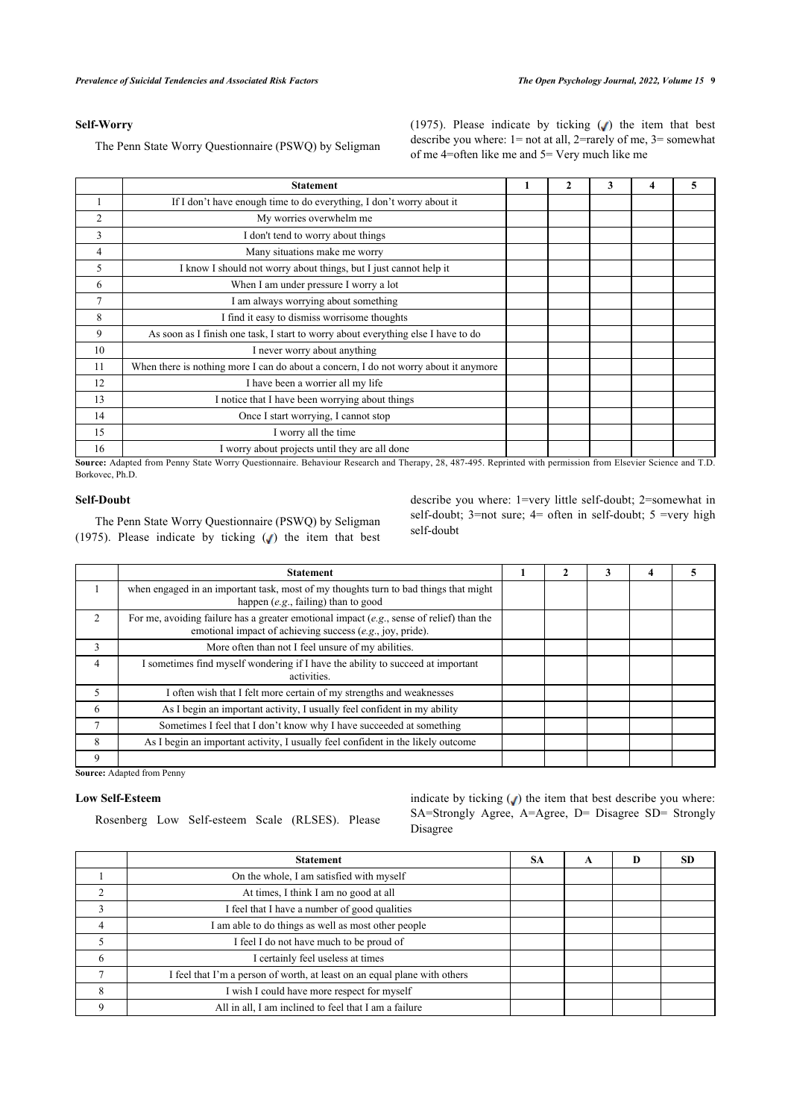(1975). Please indicate by ticking  $\binom{ }{ }$  the item that best describe you where: 1= not at all, 2=rarely of me, 3= somewhat

of me 4=often like me and 5= Very much like me

# **Self-Worry**

The Penn State Worry Questionnaire (PSWQ) by Seligman

| <b>Statement</b>                                                                     | 2 | 3 | 4 | 5 |
|--------------------------------------------------------------------------------------|---|---|---|---|
| If I don't have enough time to do everything, I don't worry about it                 |   |   |   |   |
| My worries overwhelm me                                                              |   |   |   |   |
| I don't tend to worry about things                                                   |   |   |   |   |
| Many situations make me worry                                                        |   |   |   |   |
| I know I should not worry about things, but I just cannot help it                    |   |   |   |   |
| When I am under pressure I worry a lot                                               |   |   |   |   |
| I am always worrying about something                                                 |   |   |   |   |
| I find it easy to dismiss worrisome thoughts                                         |   |   |   |   |
| As soon as I finish one task, I start to worry about everything else I have to do    |   |   |   |   |
| I never worry about anything                                                         |   |   |   |   |
| When there is nothing more I can do about a concern, I do not worry about it anymore |   |   |   |   |
| I have been a worrier all my life                                                    |   |   |   |   |
| I notice that I have been worrying about things                                      |   |   |   |   |
| Once I start worrying, I cannot stop                                                 |   |   |   |   |
| I worry all the time                                                                 |   |   |   |   |
| I worry about projects until they are all done                                       |   |   |   |   |
|                                                                                      |   |   |   |   |

**Source:** Adapted from Penny State Worry Questionnaire. Behaviour Research and Therapy, 28, 487-495. Reprinted with permission from Elsevier Science and T.D. Borkovec, Ph.D.

# **Self-Doubt**

The Penn State Worry Questionnaire (PSWQ) by Seligman (1975). Please indicate by ticking  $(J)$  the item that best describe you where: 1=very little self-doubt; 2=somewhat in self-doubt;  $3$ =not sure;  $4$ = often in self-doubt;  $5$  =very high self-doubt

|                | <b>Statement</b>                                                                                                                                         |  |  |  |
|----------------|----------------------------------------------------------------------------------------------------------------------------------------------------------|--|--|--|
|                | when engaged in an important task, most of my thoughts turn to bad things that might<br>happen $(e.g., failing)$ than to good                            |  |  |  |
| $\mathcal{D}$  | For me, avoiding failure has a greater emotional impact $(e.g.,)$ sense of relief) than the<br>emotional impact of achieving success (e.g., joy, pride). |  |  |  |
| 3              | More often than not I feel unsure of my abilities.                                                                                                       |  |  |  |
| $\overline{4}$ | sometimes find myself wondering if I have the ability to succeed at important<br>activities.                                                             |  |  |  |
| 5              | I often wish that I felt more certain of my strengths and weaknesses                                                                                     |  |  |  |
| 6              | As I begin an important activity, I usually feel confident in my ability                                                                                 |  |  |  |
|                | Sometimes I feel that I don't know why I have succeeded at something                                                                                     |  |  |  |
| 8              | As I begin an important activity, I usually feel confident in the likely outcome                                                                         |  |  |  |
| 9              |                                                                                                                                                          |  |  |  |

**Source:** Adapted from Penny

# **Low Self-Esteem**

Rosenberg Low Self-esteem Scale (RLSES). Please

indicate by ticking  $(J)$  the item that best describe you where: SA=Strongly Agree, A=Agree, D= Disagree SD= Strongly Disagree

|   | <b>Statement</b>                                                          | <b>SA</b> | A | D | <b>SD</b> |
|---|---------------------------------------------------------------------------|-----------|---|---|-----------|
|   | On the whole, I am satisfied with myself                                  |           |   |   |           |
|   | At times, I think I am no good at all                                     |           |   |   |           |
|   | I feel that I have a number of good qualities                             |           |   |   |           |
|   | I am able to do things as well as most other people                       |           |   |   |           |
|   | I feel I do not have much to be proud of                                  |           |   |   |           |
| 6 | I certainly feel useless at times                                         |           |   |   |           |
|   | I feel that I'm a person of worth, at least on an equal plane with others |           |   |   |           |
| 8 | I wish I could have more respect for myself                               |           |   |   |           |
|   | All in all, I am inclined to feel that I am a failure                     |           |   |   |           |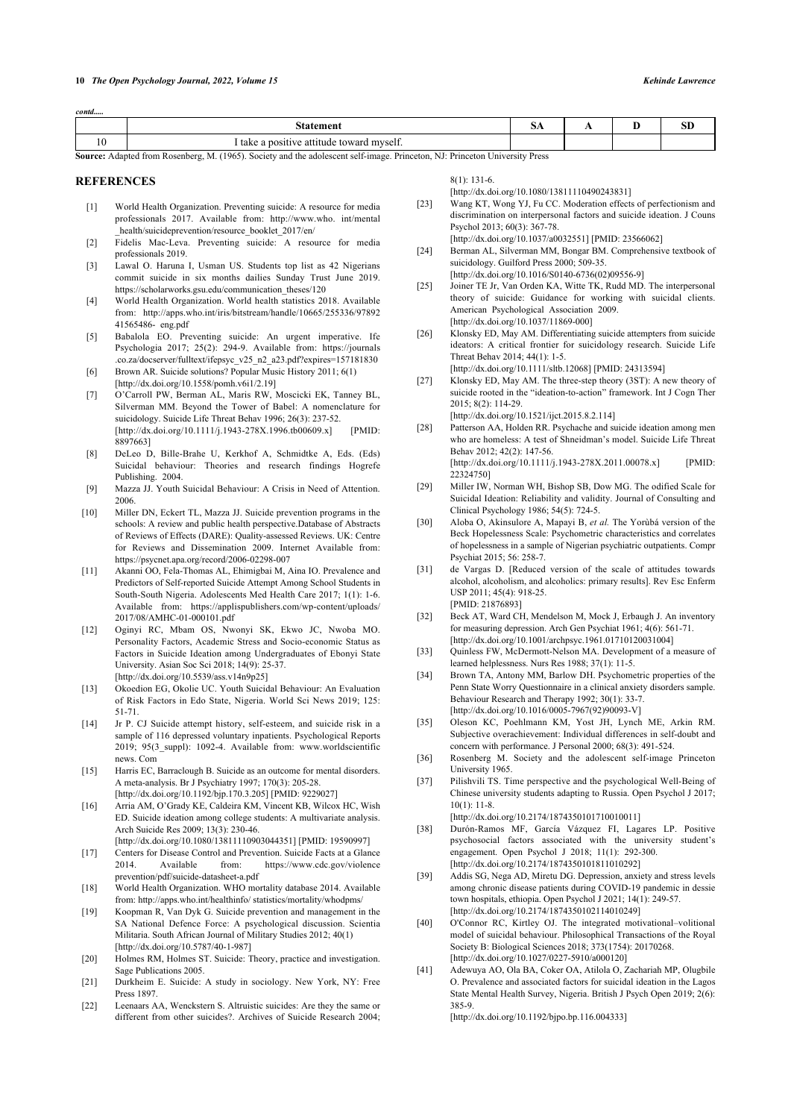| temen                                                  | 5A | . . | oτ<br>ЮU |
|--------------------------------------------------------|----|-----|----------|
| titude toward myself.<br>ve att:<br>1 take<br>oositive |    |     |          |

**Source:** Adapted from Rosenberg, M. (1965). Society and the adolescent self-image. Princeton, NJ: Princeton University Press

#### <span id="page-9-21"></span><span id="page-9-0"></span>**REFERENCES**

*contd.....*

- [1] World Health Organization. Preventing suicide: A resource for media professionals 2017. Available from: [http://www.who. int/mental](http://www.who.int/mental_health/suicideprevention/resource_booklet_2017/en/) [\\_health/suicideprevention/resource\\_booklet\\_2017/en/](http://www.who.int/mental_health/suicideprevention/resource_booklet_2017/en/)
- <span id="page-9-22"></span><span id="page-9-1"></span>[2] Fidelis Mac-Leva. Preventing suicide: A resource for media professionals 2019.
- <span id="page-9-2"></span>[3] Lawal O. Haruna I, Usman US. Students top list as 42 Nigerians commit suicide in six months dailies Sunday Trust June 2019. [https://scholarworks.gsu.edu/communication\\_theses/120](https://scholarworks.gsu.edu/communication_theses/120)
- <span id="page-9-23"></span><span id="page-9-3"></span>[4] World Health Organization. World health statistics 2018. Available from: [http://apps.who.int/iris/bitstream/handle/10665/255336/97892](http://apps.who.int/iris/bitstream/handle/10665/255336/9789241565486-eng.pdf) [41565486- eng.pdf](http://apps.who.int/iris/bitstream/handle/10665/255336/9789241565486-eng.pdf)
- <span id="page-9-24"></span><span id="page-9-4"></span>[5] Babalola EO. Preventing suicide: An urgent imperative. Ife Psychologia 2017; 25(2): 294-9. Available from: [https://journals](https://journals.co.za/docserver/fulltext/ifepsyc_v25_n2_a23.pdf?expires=157181830) [.co.za/docserver/fulltext/ifepsyc\\_v25\\_n2\\_a23.pdf?expires=157181830](https://journals.co.za/docserver/fulltext/ifepsyc_v25_n2_a23.pdf?expires=157181830)
- <span id="page-9-25"></span><span id="page-9-5"></span>[6] Brown AR. Suicide solutions? Popular Music History 2011; 6(1) [\[http://dx.doi.org/10.1558/pomh.v6i1/2.19\]](http://dx.doi.org/10.1558/pomh.v6i1/2.19)
- <span id="page-9-6"></span>[7] O'Carroll PW, Berman AL, Maris RW, Moscicki EK, Tanney BL, Silverman MM. Beyond the Tower of Babel: A nomenclature for suicidology. Suicide Life Threat Behav 1996; 26(3): 237-52. [\[http://dx.doi.org/10.1111/j.1943-278X.1996.tb00609.x\]](http://dx.doi.org/10.1111/j.1943-278X.1996.tb00609.x) [PMID: [8897663](http://www.ncbi.nlm.nih.gov/pubmed/8897663)]
- <span id="page-9-26"></span><span id="page-9-7"></span>[8] DeLeo D, Bille-Brahe U, Kerkhof A, Schmidtke A, Eds. (Eds) Suicidal behaviour: Theories and research findings Hogrefe Publishing. 2004.
- <span id="page-9-27"></span><span id="page-9-8"></span>[9] Mazza JJ. Youth Suicidal Behaviour: A Crisis in Need of Attention. 2006.
- <span id="page-9-28"></span><span id="page-9-9"></span>[10] Miller DN, Eckert TL, Mazza II, Suicide prevention programs in the schools: A review and public health perspective.Database of Abstracts of Reviews of Effects (DARE): Quality-assessed Reviews. UK: Centre for Reviews and Dissemination 2009. Internet Available from: <https://psycnet.apa.org/record/2006-02298-007>
- <span id="page-9-29"></span><span id="page-9-10"></span>[11] Akanni OO, Fela-Thomas AL, Ehimigbai M, Aina IO. Prevalence and Predictors of Self-reported Suicide Attempt Among School Students in South-South Nigeria. Adolescents Med Health Care 2017; 1(1): 1-6. Available from: [https://applispublishers.com/wp-content/uploads/](https://applispublishers.com/wp-content/uploads/2017/08/AMHC-01-000101.pdf) [2017/08/AMHC-01-000101.pdf](https://applispublishers.com/wp-content/uploads/2017/08/AMHC-01-000101.pdf)
- <span id="page-9-31"></span><span id="page-9-30"></span>[12] Oginyi RC, Mbam OS, Nwonyi SK, Ekwo JC, Nwoba MO. Personality Factors, Academic Stress and Socio-economic Status as Factors in Suicide Ideation among Undergraduates of Ebonyi State University. Asian Soc Sci 2018; 14(9): 25-37. [\[http://dx.doi.org/10.5539/ass.v14n9p25](http://dx.doi.org/10.5539/ass.v14n9p25)]
- <span id="page-9-32"></span><span id="page-9-11"></span>[13] Okoedion EG, Okolie UC. Youth Suicidal Behaviour: An Evaluation of Risk Factors in Edo State, Nigeria. World Sci News 2019; 125: 51-71.
- <span id="page-9-33"></span><span id="page-9-12"></span>[14] Jr P. CJ Suicide attempt history, self-esteem, and suicide risk in a sample of 116 depressed voluntary inpatients. Psychological Reports 2019; 95(3\_suppl): 1092-4. Available from: [www.worldscientific](http://www.worldscientificnews.Com) [news. Com](http://www.worldscientificnews.Com)
- <span id="page-9-35"></span><span id="page-9-34"></span><span id="page-9-13"></span>[15] Harris EC, Barraclough B. Suicide as an outcome for mental disorders. A meta-analysis. Br J Psychiatry 1997; 170(3): 205-28. [\[http://dx.doi.org/10.1192/bjp.170.3.205\]](http://dx.doi.org/10.1192/bjp.170.3.205) [PMID: [9229027\]](http://www.ncbi.nlm.nih.gov/pubmed/9229027)
- <span id="page-9-14"></span>[16] Arria AM, O'Grady KE, Caldeira KM, Vincent KB, Wilcox HC, Wish ED. Suicide ideation among college students: A multivariate analysis. Arch Suicide Res 2009; 13(3): 230-46.
- <span id="page-9-15"></span>[\[http://dx.doi.org/10.1080/13811110903044351\]](http://dx.doi.org/10.1080/13811110903044351) [PMID: [19590997](http://www.ncbi.nlm.nih.gov/pubmed/19590997)] [17] Centers for Disease Control and Prevention. Suicide Facts at a Glance 2014. Available from: [https://www.cdc.gov/violence](https://www.cdc.gov/violenceprevention/pdf/suicide-datasheet-a.pdf) [prevention/pdf/suicide-datasheet-a.pdf](https://www.cdc.gov/violenceprevention/pdf/suicide-datasheet-a.pdf)
- <span id="page-9-36"></span><span id="page-9-16"></span>[18] World Health Organization. WHO mortality database 2014. Available from: [http://apps.who.int/healthinfo/ statistics/mortality/whodpms/](http://apps.who.int/healthinfo/statistics/mortality/whodpms/)
- <span id="page-9-37"></span><span id="page-9-17"></span>[19] Koopman R, Van Dyk G. Suicide prevention and management in the SA National Defence Force: A psychological discussion. Scientia Militaria. South African Journal of Military Studies 2012; 40(1) [\[http://dx.doi.org/10.5787/40-1-987\]](http://dx.doi.org/10.5787/40-1-987)
- <span id="page-9-38"></span><span id="page-9-18"></span>[20] Holmes RM, Holmes ST. Suicide: Theory, practice and investigation. Sage Publications 2005.
- <span id="page-9-19"></span>[21] Durkheim E. Suicide: A study in sociology. New York, NY: Free Press 1897.
- <span id="page-9-20"></span>[22] Leenaars AA, Wenckstern S. Altruistic suicides: Are they the same or different from other suicides?. Archives of Suicide Research 2004;

8(1): 131-6.

[\[http://dx.doi.org/10.1080/13811110490243831\]](http://dx.doi.org/10.1080/13811110490243831)

- [23] Wang KT, Wong YJ, Fu CC. Moderation effects of perfectionism and discrimination on interpersonal factors and suicide ideation. J Couns Psychol 2013; 60(3): 367-78. [\[http://dx.doi.org/10.1037/a0032551](http://dx.doi.org/10.1037/a0032551)] [PMID: [23566062\]](http://www.ncbi.nlm.nih.gov/pubmed/23566062)
- [24] Berman AL, Silverman MM, Bongar BM, Comprehensive textbook of suicidology. Guilford Press 2000; 509-35.

[\[http://dx.doi.org/10.1016/S0140-6736\(02\)09556-9\]](http://dx.doi.org/10.1016/S0140-6736(02)09556-9)

- [25] Joiner TE Jr, Van Orden KA, Witte TK, Rudd MD. The interpersonal theory of suicide: Guidance for working with suicidal clients. American Psychological Association 2009. [\[http://dx.doi.org/10.1037/11869-000\]](http://dx.doi.org/10.1037/11869-000)
- [26] Klonsky ED, May AM. Differentiating suicide attempters from suicide ideators: A critical frontier for suicidology research. Suicide Life Threat Behav 2014; 44(1): 1-5.

[\[http://dx.doi.org/10.1111/sltb.12068\]](http://dx.doi.org/10.1111/sltb.12068) [PMID: [24313594](http://www.ncbi.nlm.nih.gov/pubmed/24313594)]

[27] Klonsky ED, May AM. The three-step theory (3ST): A new theory of suicide rooted in the "ideation-to-action" framework. Int J Cogn Ther  $2015: 8(2): 114-29$ 

[\[http://dx.doi.org/10.1521/ijct.2015.8.2.114\]](http://dx.doi.org/10.1521/ijct.2015.8.2.114)

- [28] Patterson AA, Holden RR. Psychache and suicide ideation among men who are homeless: A test of Shneidman's model. Suicide Life Threat Behav 2012; 42(2): 147-56. [\[http://dx.doi.org/10.1111/j.1943-278X.2011.00078.x](http://dx.doi.org/10.1111/j.1943-278X.2011.00078.x)] [PMID:
- [22324750\]](http://www.ncbi.nlm.nih.gov/pubmed/22324750) [29] Miller IW, Norman WH, Bishop SB, Dow MG. The odified Scale for Suicidal Ideation: Reliability and validity. Journal of Consulting and
- Clinical Psychology 1986; 54(5): 724-5. [30] Aloba O, Akinsulore A, Mapayi B, *et al.* The Yorùbá version of the
- Beck Hopelessness Scale: Psychometric characteristics and correlates of hopelessness in a sample of Nigerian psychiatric outpatients. Compr Psychiat 2015; 56: 258-7.
- [31] de Vargas D. [Reduced version of the scale of attitudes towards alcohol, alcoholism, and alcoholics: primary results]. Rev Esc Enferm USP 2011; 45(4): 918-25. [PMID: [21876893\]](http://www.ncbi.nlm.nih.gov/pubmed/21876893)
- [32] Beck AT, Ward CH, Mendelson M, Mock J, Erbaugh J. An inventory for measuring depression. Arch Gen Psychiat 1961; 4(6): 561-71. [\[http://dx.doi.org/10.1001/archpsyc.1961.01710120031004\]](http://dx.doi.org/10.1001/archpsyc.1961.01710120031004)
- [33] Quinless FW, McDermott-Nelson MA. Development of a measure of learned helplessness. Nurs Res 1988; 37(1): 11-5.
- [34] Brown TA, Antony MM, Barlow DH. Psychometric properties of the Penn State Worry Questionnaire in a clinical anxiety disorders sample. Behaviour Research and Therapy 1992; 30(1): 33-7. [\[http://dx.doi.org/10.1016/0005-7967\(92\)90093-V](http://dx.doi.org/10.1016/0005-7967(92)90093-V)]
- [35] Oleson KC, Poehlmann KM, Yost JH, Lynch ME, Arkin RM. Subjective overachievement: Individual differences in self-doubt and concern with performance. J Personal 2000; 68(3): 491-524.
- [36] Rosenberg M. Society and the adolescent self-image Princeton University 1965.
- [37] Pilishvili TS. Time perspective and the psychological Well-Being of Chinese university students adapting to Russia. Open Psychol J 2017; 10(1): 11-8.

[\[http://dx.doi.org/10.2174/1874350101710010011\]](http://dx.doi.org/10.2174/1874350101710010011)

- [38] Durón-Ramos MF, García Vázquez FI, Lagares LP. Positive psychosocial factors associated with the university student's engagement. Open Psychol J 2018; 11(1): 292-300. [\[http://dx.doi.org/10.2174/1874350101811010292\]](http://dx.doi.org/10.2174/1874350101811010292)
- [39] Addis SG, Nega AD, Miretu DG. Depression, anxiety and stress levels among chronic disease patients during COVID-19 pandemic in dessie town hospitals, ethiopia. Open Psychol J 2021; 14(1): 249-57. [\[http://dx.doi.org/10.2174/1874350102114010249\]](http://dx.doi.org/10.2174/1874350102114010249)
- [40] O'Connor RC, Kirtley OJ. The integrated motivational–volitional model of suicidal behaviour. Philosophical Transactions of the Royal Society B: Biological Sciences 2018; 373(1754): 20170268. [\[http://dx.doi.org/10.1027/0227-5910/a000120\]](http://dx.doi.org/10.1027/0227-5910/a000120)
- [41] Adewuya AO, Ola BA, Coker OA, Atilola O, Zachariah MP, Olugbile O. Prevalence and associated factors for suicidal ideation in the Lagos State Mental Health Survey, Nigeria. British J Psych Open 2019; 2(6): 385-9.

[\[http://dx.doi.org/10.1192/bjpo.bp.116.004333\]](http://dx.doi.org/10.1192/bjpo.bp.116.004333)